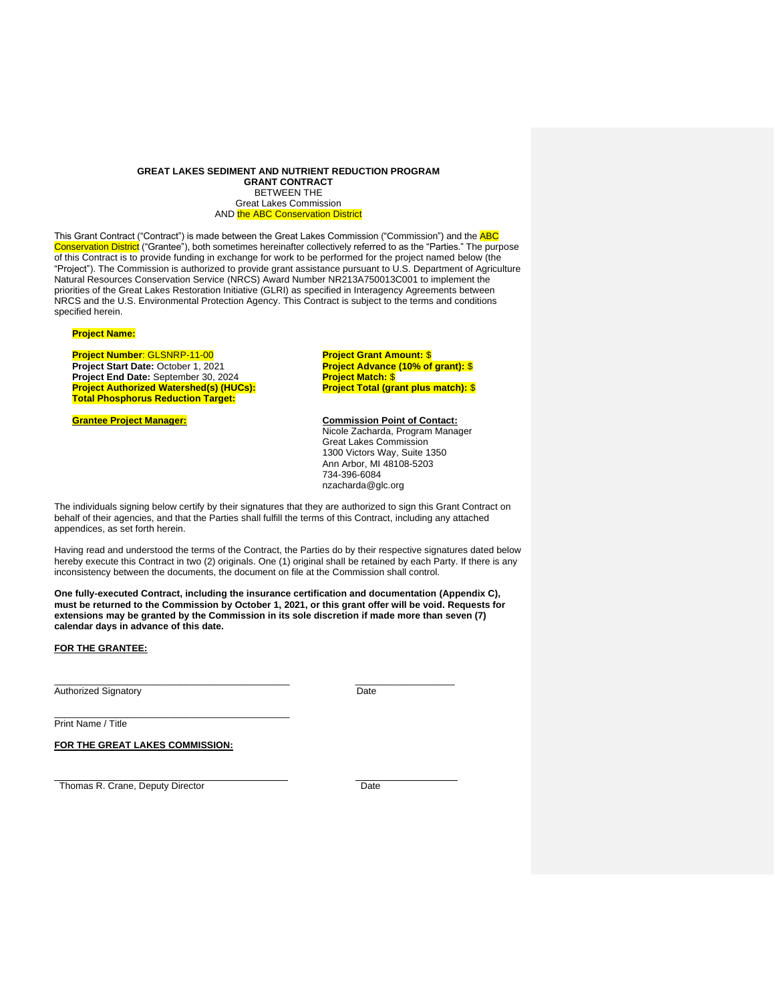#### **GREAT LAKES SEDIMENT AND NUTRIENT REDUCTION PROGRAM GRANT CONTRACT** BETWEEN THE Great Lakes Commission AND the ABC Conservation District

This Grant Contract ("Contract") is made between the Great Lakes Commission ("Commission") and the **ABC** Conservation District ("Grantee"), both sometimes hereinafter collectively referred to as the "Parties." The purpose of this Contract is to provide funding in exchange for work to be performed for the project named below (the "Project"). The Commission is authorized to provide grant assistance pursuant to U.S. Department of Agriculture Natural Resources Conservation Service (NRCS) Award Number NR213A750013C001 to implement the priorities of the Great Lakes Restoration Initiative (GLRI) as specified in Interagency Agreements between NRCS and the U.S. Environmental Protection Agency. This Contract is subject to the terms and conditions specified herein.

## **Project Name:**

# **Project Number**: GLSNRP-11-00

**Project Start Date:** October 1, 2021 **Project End Date:** September 30, 2024 **Project Authorized Watershed(s) (HUCs): Total Phosphorus Reduction Target:**

**Project Grant Amount:** \$ **Project Advance (10% of grant):** \$ **Project Match:** \$ **Project Total (grant plus match):** \$

**Grantee Project Manager: Commission Point of Contact:**  Nicole Zacharda, Program Manager Great Lakes Commission 1300 Victors Way, Suite 1350 Ann Arbor, MI 48108-5203 734-396-6084 nzacharda@glc.org

The individuals signing below certify by their signatures that they are authorized to sign this Grant Contract on behalf of their agencies, and that the Parties shall fulfill the terms of this Contract, including any attached appendices, as set forth herein.

Having read and understood the terms of the Contract, the Parties do by their respective signatures dated below hereby execute this Contract in two (2) originals. One (1) original shall be retained by each Party. If there is any inconsistency between the documents, the document on file at the Commission shall control.

**One fully-executed Contract, including the insurance certification and documentation (Appendix C), must be returned to the Commission by October 1, 2021, or this grant offer will be void. Requests for extensions may be granted by the Commission in its sole discretion if made more than seven (7) calendar days in advance of this date.**

#### **FOR THE GRANTEE:**

Authorized Signatory **Date** 

\_\_\_\_\_\_\_\_\_\_\_\_\_\_\_\_\_\_\_\_\_\_\_\_\_\_\_\_\_\_\_\_\_\_\_\_\_\_\_\_\_\_\_\_\_ \_\_\_\_\_\_\_\_\_\_\_\_\_\_\_\_\_\_\_

Print Name / Title

**FOR THE GREAT LAKES COMMISSION:**

\_\_\_\_\_\_\_\_\_\_\_\_\_\_\_\_\_\_\_\_\_\_\_\_\_\_\_\_\_\_\_\_\_\_\_\_\_\_\_\_\_\_\_\_\_

Thomas R. Crane, Deputy Director Date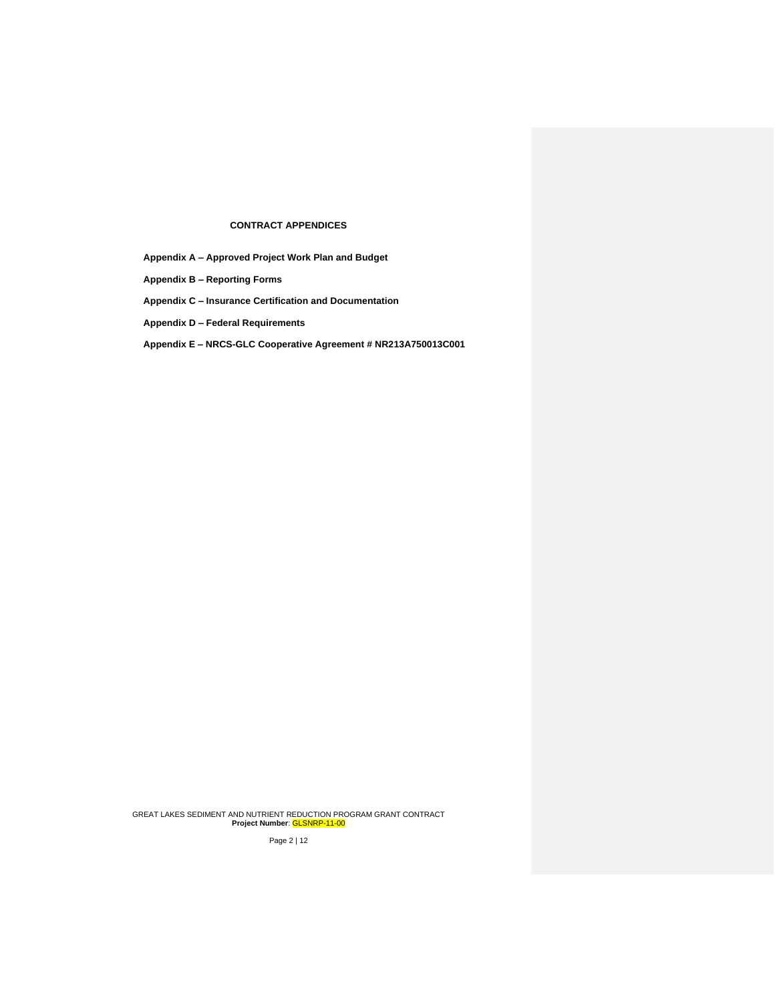# **CONTRACT APPENDICES**

**Appendix A – Approved Project Work Plan and Budget**

**Appendix B – Reporting Forms**

**Appendix C – Insurance Certification and Documentation**

**Appendix D – Federal Requirements**

**Appendix E – NRCS-GLC Cooperative Agreement # NR213A750013C001** 

GREAT LAKES SEDIMENT AND NUTRIENT REDUCTION PROGRAM GRANT CONTRACT **Project Number**: GLSNRP-11-00

Page 2 | 12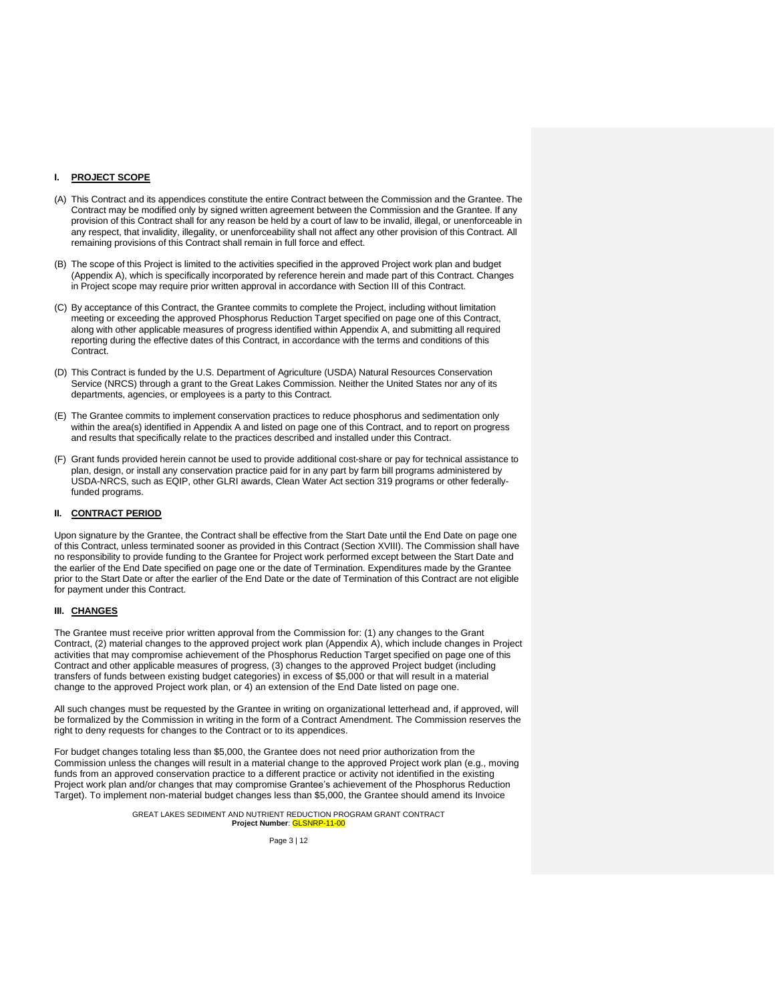### **I. PROJECT SCOPE**

- (A) This Contract and its appendices constitute the entire Contract between the Commission and the Grantee. The Contract may be modified only by signed written agreement between the Commission and the Grantee. If any provision of this Contract shall for any reason be held by a court of law to be invalid, illegal, or unenforceable in any respect, that invalidity, illegality, or unenforceability shall not affect any other provision of this Contract. All remaining provisions of this Contract shall remain in full force and effect.
- (B) The scope of this Project is limited to the activities specified in the approved Project work plan and budget (Appendix A), which is specifically incorporated by reference herein and made part of this Contract. Changes in Project scope may require prior written approval in accordance with Section III of this Contract.
- (C) By acceptance of this Contract, the Grantee commits to complete the Project, including without limitation meeting or exceeding the approved Phosphorus Reduction Target specified on page one of this Contract, along with other applicable measures of progress identified within Appendix A, and submitting all required reporting during the effective dates of this Contract, in accordance with the terms and conditions of this Contract.
- (D) This Contract is funded by the U.S. Department of Agriculture (USDA) Natural Resources Conservation Service (NRCS) through a grant to the Great Lakes Commission. Neither the United States nor any of its departments, agencies, or employees is a party to this Contract.
- (E) The Grantee commits to implement conservation practices to reduce phosphorus and sedimentation only within the area(s) identified in Appendix A and listed on page one of this Contract, and to report on progress and results that specifically relate to the practices described and installed under this Contract.
- (F) Grant funds provided herein cannot be used to provide additional cost-share or pay for technical assistance to plan, design, or install any conservation practice paid for in any part by farm bill programs administered by USDA-NRCS, such as EQIP, other GLRI awards, Clean Water Act section 319 programs or other federallyfunded programs.

#### **II. CONTRACT PERIOD**

Upon signature by the Grantee, the Contract shall be effective from the Start Date until the End Date on page one of this Contract, unless terminated sooner as provided in this Contract (Section XVIII). The Commission shall have no responsibility to provide funding to the Grantee for Project work performed except between the Start Date and the earlier of the End Date specified on page one or the date of Termination. Expenditures made by the Grantee prior to the Start Date or after the earlier of the End Date or the date of Termination of this Contract are not eligible for payment under this Contract.

#### **III. CHANGES**

The Grantee must receive prior written approval from the Commission for: (1) any changes to the Grant Contract, (2) material changes to the approved project work plan (Appendix A), which include changes in Project activities that may compromise achievement of the Phosphorus Reduction Target specified on page one of this Contract and other applicable measures of progress, (3) changes to the approved Project budget (including transfers of funds between existing budget categories) in excess of \$5,000 or that will result in a material change to the approved Project work plan, or 4) an extension of the End Date listed on page one.

All such changes must be requested by the Grantee in writing on organizational letterhead and, if approved, will be formalized by the Commission in writing in the form of a Contract Amendment. The Commission reserves the right to deny requests for changes to the Contract or to its appendices.

For budget changes totaling less than \$5,000, the Grantee does not need prior authorization from the Commission unless the changes will result in a material change to the approved Project work plan (e.g., moving funds from an approved conservation practice to a different practice or activity not identified in the existing Project work plan and/or changes that may compromise Grantee's achievement of the Phosphorus Reduction Target). To implement non-material budget changes less than \$5,000, the Grantee should amend its Invoice

> GREAT LAKES SEDIMENT AND NUTRIENT REDUCTION PROGRAM GRANT CONTRACT **Project Number**: GLSNRP-11-00

> > Page 3 | 12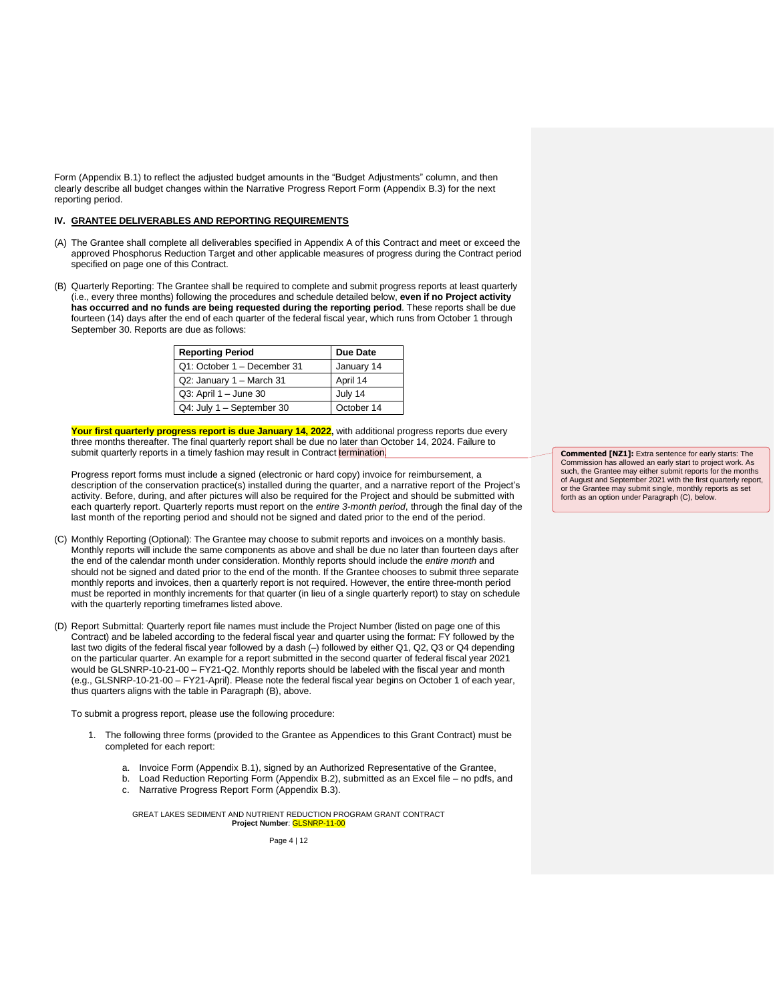Form (Appendix B.1) to reflect the adjusted budget amounts in the "Budget Adjustments" column, and then clearly describe all budget changes within the Narrative Progress Report Form (Appendix B.3) for the next reporting period.

#### **IV. GRANTEE DELIVERABLES AND REPORTING REQUIREMENTS**

- (A) The Grantee shall complete all deliverables specified in Appendix A of this Contract and meet or exceed the approved Phosphorus Reduction Target and other applicable measures of progress during the Contract period specified on page one of this Contract.
- (B) Quarterly Reporting: The Grantee shall be required to complete and submit progress reports at least quarterly (i.e., every three months) following the procedures and schedule detailed below, **even if no Project activity has occurred and no funds are being requested during the reporting period**. These reports shall be due fourteen (14) days after the end of each quarter of the federal fiscal year, which runs from October 1 through September 30. Reports are due as follows:

| <b>Reporting Period</b>     | Due Date   |
|-----------------------------|------------|
| Q1: October 1 - December 31 | January 14 |
| Q2: January 1 - March 31    | April 14   |
| Q3: April 1 - June 30       | July 14    |
| Q4: July 1 - September 30   | October 14 |

Your first quarterly progress report is due January 14, 2022, with additional progress reports due every three months thereafter. The final quarterly report shall be due no later than October 14, 2024. Failure to submit quarterly reports in a timely fashion may result in Contract termination.

Progress report forms must include a signed (electronic or hard copy) invoice for reimbursement, a description of the conservation practice(s) installed during the quarter, and a narrative report of the Project's activity. Before, during, and after pictures will also be required for the Project and should be submitted with each quarterly report. Quarterly reports must report on the *entire 3-month period*, through the final day of the last month of the reporting period and should not be signed and dated prior to the end of the period.

- (C) Monthly Reporting (Optional): The Grantee may choose to submit reports and invoices on a monthly basis. Monthly reports will include the same components as above and shall be due no later than fourteen days after the end of the calendar month under consideration. Monthly reports should include the *entire month* and should not be signed and dated prior to the end of the month. If the Grantee chooses to submit three separate monthly reports and invoices, then a quarterly report is not required. However, the entire three-month period must be reported in monthly increments for that quarter (in lieu of a single quarterly report) to stay on schedule with the quarterly reporting timeframes listed above.
- (D) Report Submittal: Quarterly report file names must include the Project Number (listed on page one of this Contract) and be labeled according to the federal fiscal year and quarter using the format: FY followed by the last two digits of the federal fiscal year followed by a dash (–) followed by either Q1, Q2, Q3 or Q4 depending on the particular quarter. An example for a report submitted in the second quarter of federal fiscal year 2021 would be GLSNRP-10-21-00 – FY21-Q2. Monthly reports should be labeled with the fiscal year and month (e.g., GLSNRP-10-21-00 – FY21-April). Please note the federal fiscal year begins on October 1 of each year, thus quarters aligns with the table in Paragraph (B), above.

To submit a progress report, please use the following procedure:

- 1. The following three forms (provided to the Grantee as Appendices to this Grant Contract) must be completed for each report:
	- a. Invoice Form (Appendix B.1), signed by an Authorized Representative of the Grantee,
	- b. Load Reduction Reporting Form (Appendix B.2), submitted as an Excel file no pdfs, and
	- c. Narrative Progress Report Form (Appendix B.3).

GREAT LAKES SEDIMENT AND NUTRIENT REDUCTION PROGRAM GRANT CONTRACT **Project Number**: GLSNRP-11-00

Page 4 | 12

**Commented [NZ1]:** Extra sentence for early starts: The Commission has allowed an early start to project work. As such, the Grantee may either submit reports for the months of August and September 2021 with the first quarterly report, or the Grantee may submit single, monthly reports as set forth as an option under Paragraph (C), below.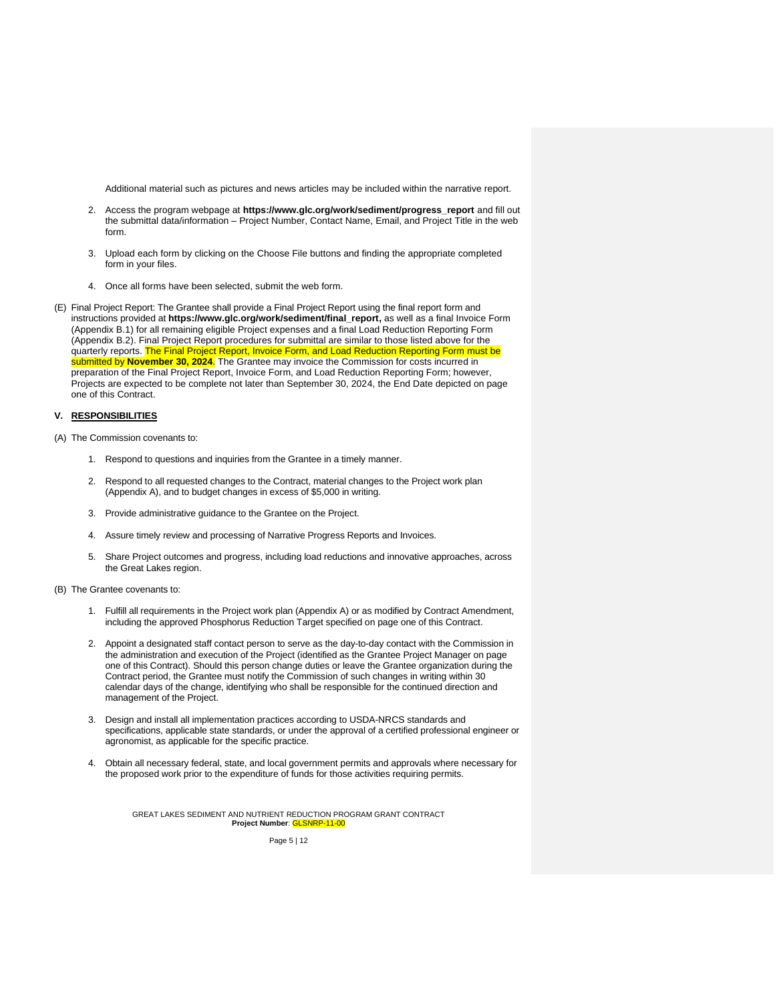Additional material such as pictures and news articles may be included within the narrative report.

- 2. Access the program webpage at **[https://www.glc.org/work/sediment/progress\\_report](https://www.glc.org/work/sediment/progress_report)** and fill out the submittal data/information – Project Number, Contact Name, Email, and Project Title in the web form.
- 3. Upload each form by clicking on the Choose File buttons and finding the appropriate completed form in your files.
- 4. Once all forms have been selected, submit the web form.
- (E) Final Project Report: The Grantee shall provide a Final Project Report using the final report form and instructions provided at **[https://www.glc.org/work/sediment/final\\_report,](https://www.glc.org/work/sediment/final_report)** as well as a final Invoice Form (Appendix B.1) for all remaining eligible Project expenses and a final Load Reduction Reporting Form (Appendix B.2). Final Project Report procedures for submittal are similar to those listed above for the quarterly reports. The Final Project Report, Invoice Form, and Load Reduction Reporting Form must be submitted by **November 30, 2024**. The Grantee may invoice the Commission for costs incurred in preparation of the Final Project Report, Invoice Form, and Load Reduction Reporting Form; however, Projects are expected to be complete not later than September 30, 2024, the End Date depicted on page one of this Contract.

## **V. RESPONSIBILITIES**

- (A) The Commission covenants to:
	- 1. Respond to questions and inquiries from the Grantee in a timely manner.
	- 2. Respond to all requested changes to the Contract, material changes to the Project work plan (Appendix A), and to budget changes in excess of \$5,000 in writing.
	- 3. Provide administrative guidance to the Grantee on the Project.
	- 4. Assure timely review and processing of Narrative Progress Reports and Invoices.
	- 5. Share Project outcomes and progress, including load reductions and innovative approaches, across the Great Lakes region.
- (B) The Grantee covenants to:
	- 1. Fulfill all requirements in the Project work plan (Appendix A) or as modified by Contract Amendment, including the approved Phosphorus Reduction Target specified on page one of this Contract.
	- 2. Appoint a designated staff contact person to serve as the day-to-day contact with the Commission in the administration and execution of the Project (identified as the Grantee Project Manager on page one of this Contract). Should this person change duties or leave the Grantee organization during the Contract period, the Grantee must notify the Commission of such changes in writing within 30 calendar days of the change, identifying who shall be responsible for the continued direction and management of the Project.
	- 3. Design and install all implementation practices according to USDA-NRCS standards and specifications, applicable state standards, or under the approval of a certified professional engineer or agronomist, as applicable for the specific practice.
	- 4. Obtain all necessary federal, state, and local government permits and approvals where necessary for the proposed work prior to the expenditure of funds for those activities requiring permits.

GREAT LAKES SEDIMENT AND NUTRIENT REDUCTION PROGRAM GRANT CONTRACT **Project Number**: GLSNRP-11-00

Page 5 | 12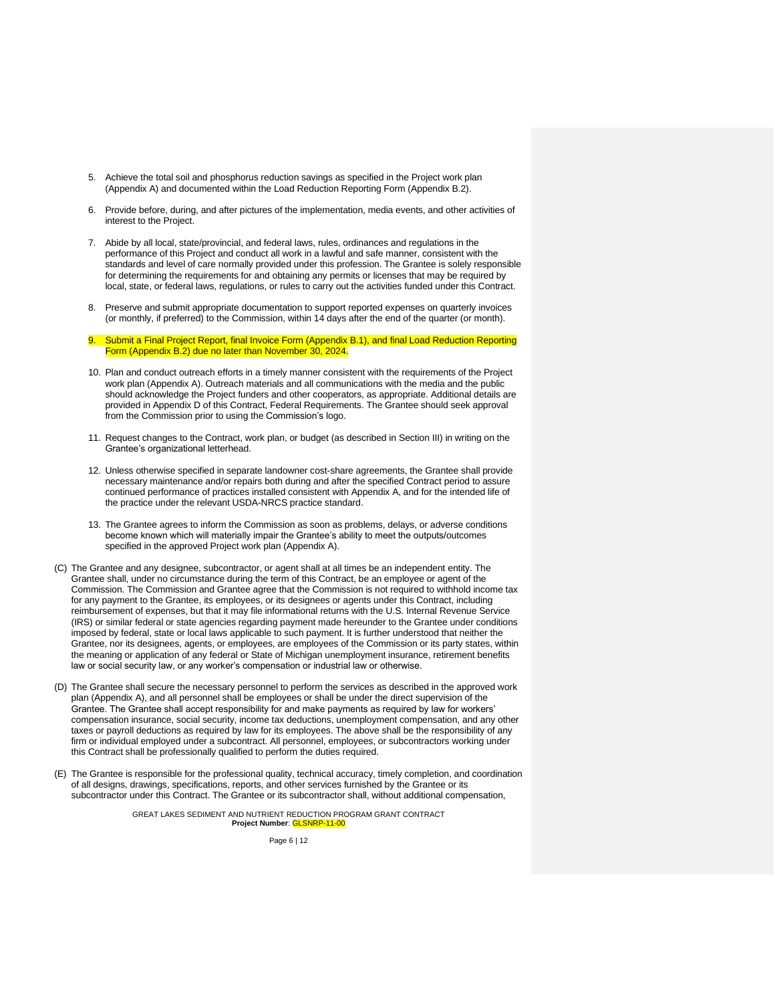- 5. Achieve the total soil and phosphorus reduction savings as specified in the Project work plan (Appendix A) and documented within the Load Reduction Reporting Form (Appendix B.2).
- 6. Provide before, during, and after pictures of the implementation, media events, and other activities of interest to the Project.
- 7. Abide by all local, state/provincial, and federal laws, rules, ordinances and regulations in the performance of this Project and conduct all work in a lawful and safe manner, consistent with the standards and level of care normally provided under this profession. The Grantee is solely responsible for determining the requirements for and obtaining any permits or licenses that may be required by local, state, or federal laws, regulations, or rules to carry out the activities funded under this Contract.
- 8. Preserve and submit appropriate documentation to support reported expenses on quarterly invoices (or monthly, if preferred) to the Commission, within 14 days after the end of the quarter (or month).
- 9. Submit a Final Project Report, final Invoice Form (Appendix B.1), and final Load Reduction Reporting Form (Appendix B.2) due no later than November 30, 2024.
- 10. Plan and conduct outreach efforts in a timely manner consistent with the requirements of the Project work plan (Appendix A). Outreach materials and all communications with the media and the public should acknowledge the Project funders and other cooperators, as appropriate. Additional details are provided in Appendix D of this Contract, Federal Requirements. The Grantee should seek approval from the Commission prior to using the Commission's logo.
- 11. Request changes to the Contract, work plan, or budget (as described in Section III) in writing on the Grantee's organizational letterhead.
- 12. Unless otherwise specified in separate landowner cost-share agreements, the Grantee shall provide necessary maintenance and/or repairs both during and after the specified Contract period to assure continued performance of practices installed consistent with Appendix A, and for the intended life of the practice under the relevant USDA-NRCS practice standard.
- 13. The Grantee agrees to inform the Commission as soon as problems, delays, or adverse conditions become known which will materially impair the Grantee's ability to meet the outputs/outcomes specified in the approved Project work plan (Appendix A).
- (C) The Grantee and any designee, subcontractor, or agent shall at all times be an independent entity. The Grantee shall, under no circumstance during the term of this Contract, be an employee or agent of the Commission. The Commission and Grantee agree that the Commission is not required to withhold income tax for any payment to the Grantee, its employees, or its designees or agents under this Contract, including reimbursement of expenses, but that it may file informational returns with the U.S. Internal Revenue Service (IRS) or similar federal or state agencies regarding payment made hereunder to the Grantee under conditions imposed by federal, state or local laws applicable to such payment. It is further understood that neither the Grantee, nor its designees, agents, or employees, are employees of the Commission or its party states, within the meaning or application of any federal or State of Michigan unemployment insurance, retirement benefits law or social security law, or any worker's compensation or industrial law or otherwise.
- (D) The Grantee shall secure the necessary personnel to perform the services as described in the approved work plan (Appendix A), and all personnel shall be employees or shall be under the direct supervision of the Grantee. The Grantee shall accept responsibility for and make payments as required by law for workers' compensation insurance, social security, income tax deductions, unemployment compensation, and any other taxes or payroll deductions as required by law for its employees. The above shall be the responsibility of any firm or individual employed under a subcontract. All personnel, employees, or subcontractors working under this Contract shall be professionally qualified to perform the duties required.
- (E) The Grantee is responsible for the professional quality, technical accuracy, timely completion, and coordination of all designs, drawings, specifications, reports, and other services furnished by the Grantee or its subcontractor under this Contract. The Grantee or its subcontractor shall, without additional compensation,

GREAT LAKES SEDIMENT AND NUTRIENT REDUCTION PROGRAM GRANT CONTRACT **Project Number**: GLSNRP-11-00

Page 6 | 12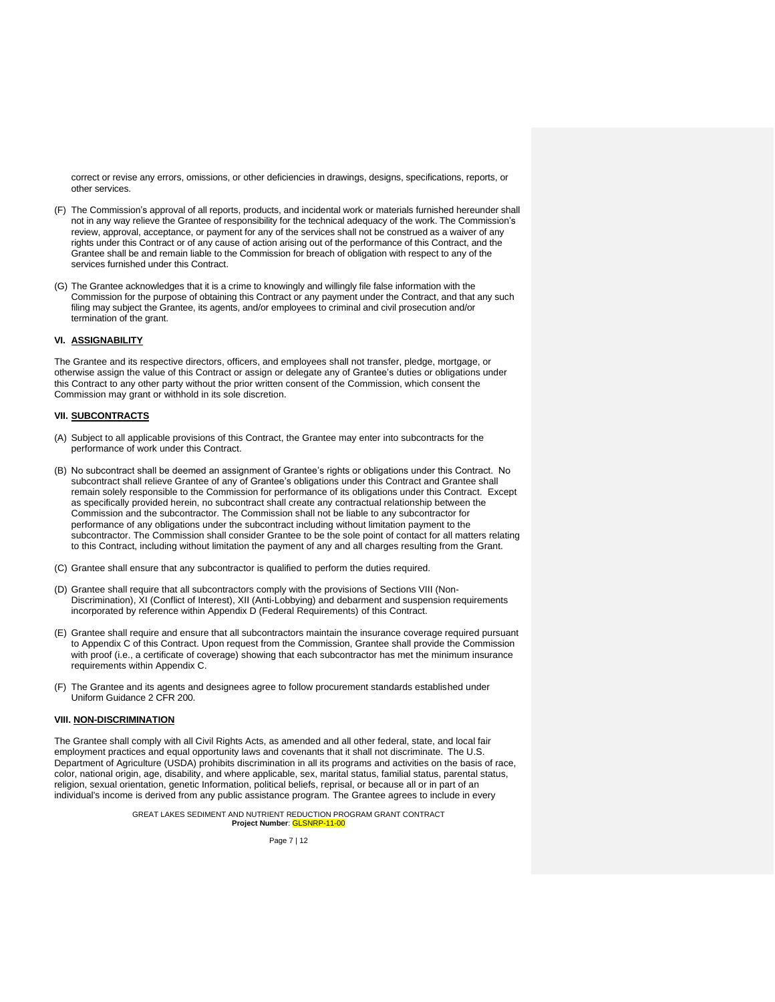correct or revise any errors, omissions, or other deficiencies in drawings, designs, specifications, reports, or other services.

- (F) The Commission's approval of all reports, products, and incidental work or materials furnished hereunder shall not in any way relieve the Grantee of responsibility for the technical adequacy of the work. The Commission's review, approval, acceptance, or payment for any of the services shall not be construed as a waiver of any rights under this Contract or of any cause of action arising out of the performance of this Contract, and the Grantee shall be and remain liable to the Commission for breach of obligation with respect to any of the services furnished under this Contract.
- (G) The Grantee acknowledges that it is a crime to knowingly and willingly file false information with the Commission for the purpose of obtaining this Contract or any payment under the Contract, and that any such filing may subject the Grantee, its agents, and/or employees to criminal and civil prosecution and/or termination of the grant.

## **VI. ASSIGNABILITY**

The Grantee and its respective directors, officers, and employees shall not transfer, pledge, mortgage, or otherwise assign the value of this Contract or assign or delegate any of Grantee's duties or obligations under this Contract to any other party without the prior written consent of the Commission, which consent the Commission may grant or withhold in its sole discretion.

# **VII. SUBCONTRACTS**

- (A) Subject to all applicable provisions of this Contract, the Grantee may enter into subcontracts for the performance of work under this Contract.
- (B) No subcontract shall be deemed an assignment of Grantee's rights or obligations under this Contract. No subcontract shall relieve Grantee of any of Grantee's obligations under this Contract and Grantee shall remain solely responsible to the Commission for performance of its obligations under this Contract. Except as specifically provided herein, no subcontract shall create any contractual relationship between the Commission and the subcontractor. The Commission shall not be liable to any subcontractor for performance of any obligations under the subcontract including without limitation payment to the subcontractor. The Commission shall consider Grantee to be the sole point of contact for all matters relating to this Contract, including without limitation the payment of any and all charges resulting from the Grant.
- (C) Grantee shall ensure that any subcontractor is qualified to perform the duties required.
- (D) Grantee shall require that all subcontractors comply with the provisions of Sections VIII (Non-Discrimination), XI (Conflict of Interest), XII (Anti-Lobbying) and debarment and suspension requirements incorporated by reference within Appendix D (Federal Requirements) of this Contract.
- (E) Grantee shall require and ensure that all subcontractors maintain the insurance coverage required pursuant to Appendix C of this Contract. Upon request from the Commission, Grantee shall provide the Commission with proof (i.e., a certificate of coverage) showing that each subcontractor has met the minimum insurance requirements within Appendix C.
- (F) The Grantee and its agents and designees agree to follow procurement standards established under Uniform Guidance 2 CFR 200.

## **VIII. NON-DISCRIMINATION**

The Grantee shall comply with all Civil Rights Acts, as amended and all other federal, state, and local fair employment practices and equal opportunity laws and covenants that it shall not discriminate. The U.S. Department of Agriculture (USDA) prohibits discrimination in all its programs and activities on the basis of race, color, national origin, age, disability, and where applicable, sex, marital status, familial status, parental status, religion, sexual orientation, genetic Information, political beliefs, reprisal, or because all or in part of an individual's income is derived from any public assistance program. The Grantee agrees to include in every

> GREAT LAKES SEDIMENT AND NUTRIENT REDUCTION PROGRAM GRANT CONTRACT **Project Number**: GLSNRP-11-00

> > Page 7 | 12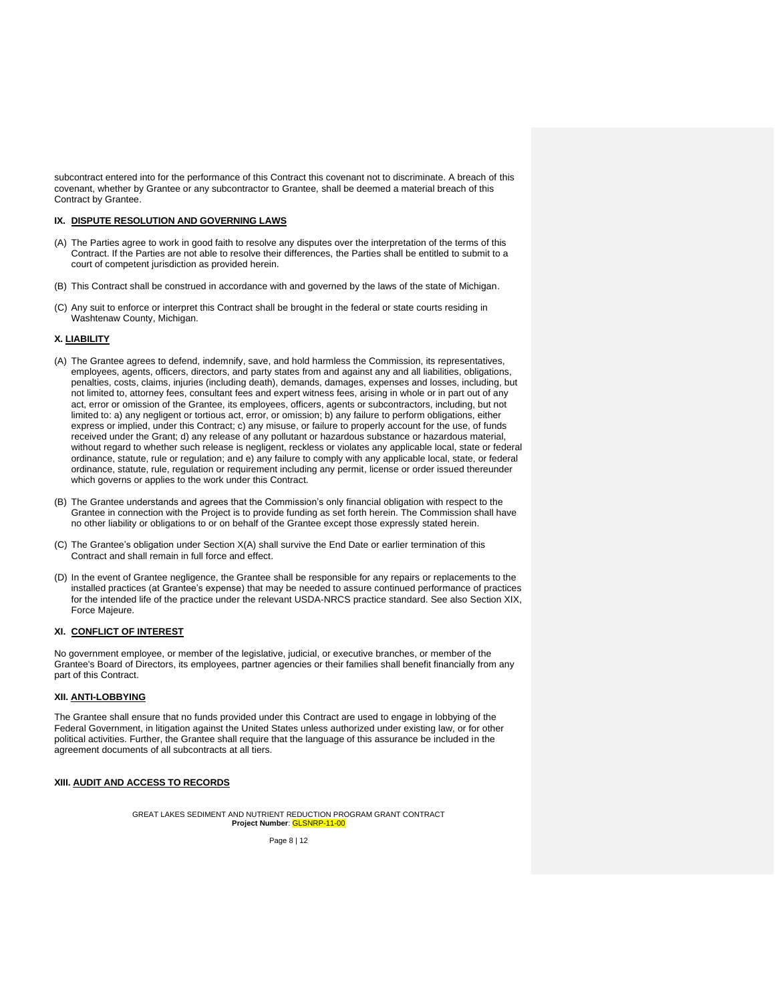subcontract entered into for the performance of this Contract this covenant not to discriminate. A breach of this covenant, whether by Grantee or any subcontractor to Grantee, shall be deemed a material breach of this Contract by Grantee.

#### **IX. DISPUTE RESOLUTION AND GOVERNING LAWS**

- (A) The Parties agree to work in good faith to resolve any disputes over the interpretation of the terms of this Contract. If the Parties are not able to resolve their differences, the Parties shall be entitled to submit to a court of competent jurisdiction as provided herein.
- (B) This Contract shall be construed in accordance with and governed by the laws of the state of Michigan.
- (C) Any suit to enforce or interpret this Contract shall be brought in the federal or state courts residing in Washtenaw County, Michigan.

## **X. LIABILITY**

- (A) The Grantee agrees to defend, indemnify, save, and hold harmless the Commission, its representatives, employees, agents, officers, directors, and party states from and against any and all liabilities, obligations, penalties, costs, claims, injuries (including death), demands, damages, expenses and losses, including, but not limited to, attorney fees, consultant fees and expert witness fees, arising in whole or in part out of any act, error or omission of the Grantee, its employees, officers, agents or subcontractors, including, but not limited to: a) any negligent or tortious act, error, or omission; b) any failure to perform obligations, either express or implied, under this Contract; c) any misuse, or failure to properly account for the use, of funds received under the Grant; d) any release of any pollutant or hazardous substance or hazardous material, without regard to whether such release is negligent, reckless or violates any applicable local, state or federal ordinance, statute, rule or regulation; and e) any failure to comply with any applicable local, state, or federal ordinance, statute, rule, regulation or requirement including any permit, license or order issued thereunder which governs or applies to the work under this Contract.
- (B) The Grantee understands and agrees that the Commission's only financial obligation with respect to the Grantee in connection with the Project is to provide funding as set forth herein. The Commission shall have no other liability or obligations to or on behalf of the Grantee except those expressly stated herein.
- (C) The Grantee's obligation under Section X(A) shall survive the End Date or earlier termination of this Contract and shall remain in full force and effect.
- (D) In the event of Grantee negligence, the Grantee shall be responsible for any repairs or replacements to the installed practices (at Grantee's expense) that may be needed to assure continued performance of practices for the intended life of the practice under the relevant USDA-NRCS practice standard. See also Section XIX, Force Majeure.

#### **XI. CONFLICT OF INTEREST**

No government employee, or member of the legislative, judicial, or executive branches, or member of the Grantee's Board of Directors, its employees, partner agencies or their families shall benefit financially from any part of this Contract.

## **XII. ANTI-LOBBYING**

The Grantee shall ensure that no funds provided under this Contract are used to engage in lobbying of the Federal Government, in litigation against the United States unless authorized under existing law, or for other political activities. Further, the Grantee shall require that the language of this assurance be included in the agreement documents of all subcontracts at all tiers.

#### **XIII. AUDIT AND ACCESS TO RECORDS**

GREAT LAKES SEDIMENT AND NUTRIENT REDUCTION PROGRAM GRANT CONTRACT **Project Number**: GLSNRP-11-00

Page 8 | 12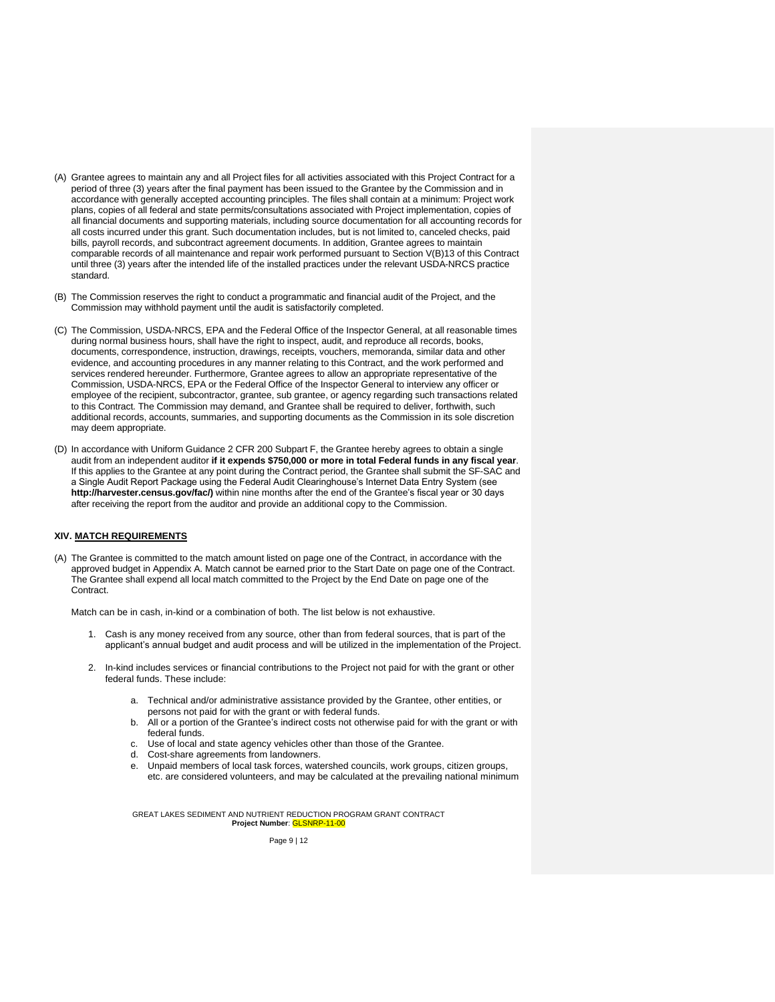- (A) Grantee agrees to maintain any and all Project files for all activities associated with this Project Contract for a period of three (3) years after the final payment has been issued to the Grantee by the Commission and in accordance with generally accepted accounting principles. The files shall contain at a minimum: Project work plans, copies of all federal and state permits/consultations associated with Project implementation, copies of all financial documents and supporting materials, including source documentation for all accounting records for all costs incurred under this grant. Such documentation includes, but is not limited to, canceled checks, paid bills, payroll records, and subcontract agreement documents. In addition, Grantee agrees to maintain comparable records of all maintenance and repair work performed pursuant to Section V(B)13 of this Contract until three (3) years after the intended life of the installed practices under the relevant USDA-NRCS practice standard.
- (B) The Commission reserves the right to conduct a programmatic and financial audit of the Project, and the Commission may withhold payment until the audit is satisfactorily completed.
- (C) The Commission, USDA-NRCS, EPA and the Federal Office of the Inspector General, at all reasonable times during normal business hours, shall have the right to inspect, audit, and reproduce all records, books, documents, correspondence, instruction, drawings, receipts, vouchers, memoranda, similar data and other evidence, and accounting procedures in any manner relating to this Contract, and the work performed and services rendered hereunder. Furthermore, Grantee agrees to allow an appropriate representative of the Commission, USDA-NRCS, EPA or the Federal Office of the Inspector General to interview any officer or employee of the recipient, subcontractor, grantee, sub grantee, or agency regarding such transactions related to this Contract. The Commission may demand, and Grantee shall be required to deliver, forthwith, such additional records, accounts, summaries, and supporting documents as the Commission in its sole discretion may deem appropriate.
- (D) In accordance with Uniform Guidance 2 CFR 200 Subpart F, the Grantee hereby agrees to obtain a single audit from an independent auditor **if it expends \$750,000 or more in total Federal funds in any fiscal year**. If this applies to the Grantee at any point during the Contract period, the Grantee shall submit the SF-SAC and a Single Audit Report Package using the Federal Audit Clearinghouse's Internet Data Entry System (see **http://harvester.census.gov/fac/)** within nine months after the end of the Grantee's fiscal year or 30 days after receiving the report from the auditor and provide an additional copy to the Commission.

#### **XIV. MATCH REQUIREMENTS**

(A) The Grantee is committed to the match amount listed on page one of the Contract, in accordance with the approved budget in Appendix A. Match cannot be earned prior to the Start Date on page one of the Contract. The Grantee shall expend all local match committed to the Project by the End Date on page one of the Contract.

Match can be in cash, in-kind or a combination of both. The list below is not exhaustive.

- 1. Cash is any money received from any source, other than from federal sources, that is part of the applicant's annual budget and audit process and will be utilized in the implementation of the Project.
- 2. In-kind includes services or financial contributions to the Project not paid for with the grant or other federal funds. These include:
	- a. Technical and/or administrative assistance provided by the Grantee, other entities, or persons not paid for with the grant or with federal funds.
	- b. All or a portion of the Grantee's indirect costs not otherwise paid for with the grant or with federal funds.
	- c. Use of local and state agency vehicles other than those of the Grantee.
	- d. Cost-share agreements from landowners.
	- e. Unpaid members of local task forces, watershed councils, work groups, citizen groups, etc. are considered volunteers, and may be calculated at the prevailing national minimum

GREAT LAKES SEDIMENT AND NUTRIENT REDUCTION PROGRAM GRANT CONTRACT **Project Number**: GLSNRP-11-00

Page 9 | 12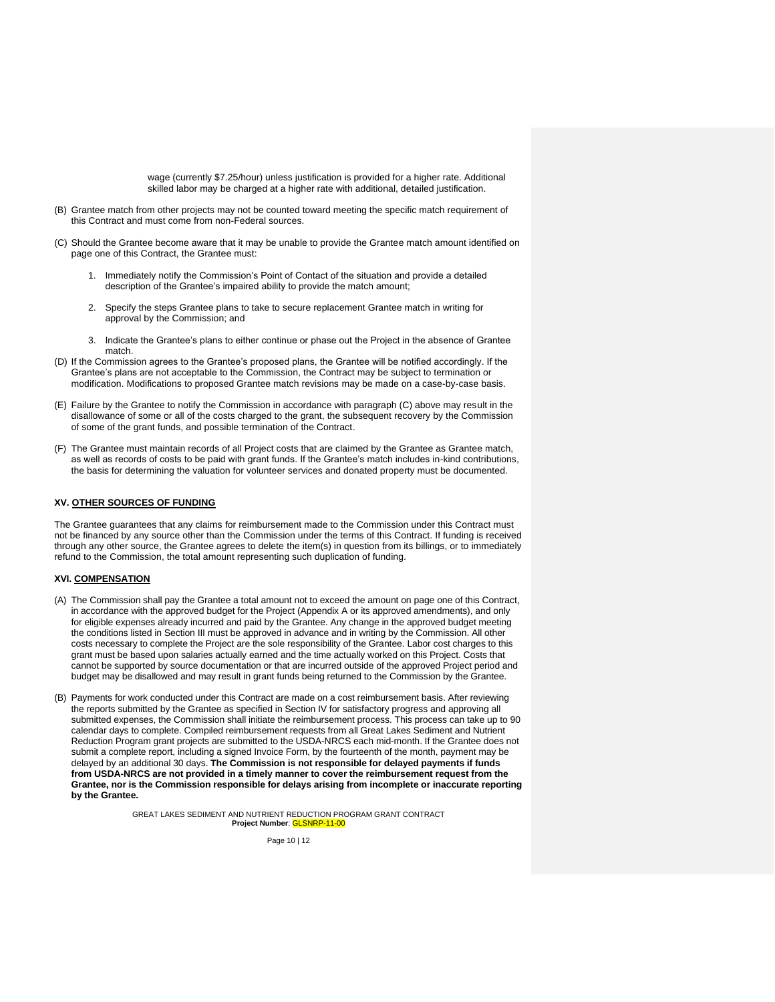wage (currently \$7.25/hour) unless justification is provided for a higher rate. Additional skilled labor may be charged at a higher rate with additional, detailed justification.

- (B) Grantee match from other projects may not be counted toward meeting the specific match requirement of this Contract and must come from non-Federal sources.
- (C) Should the Grantee become aware that it may be unable to provide the Grantee match amount identified on page one of this Contract, the Grantee must:
	- 1. Immediately notify the Commission's Point of Contact of the situation and provide a detailed description of the Grantee's impaired ability to provide the match amount;
	- 2. Specify the steps Grantee plans to take to secure replacement Grantee match in writing for approval by the Commission; and
	- 3. Indicate the Grantee's plans to either continue or phase out the Project in the absence of Grantee match.
- (D) If the Commission agrees to the Grantee's proposed plans, the Grantee will be notified accordingly. If the Grantee's plans are not acceptable to the Commission, the Contract may be subject to termination or modification. Modifications to proposed Grantee match revisions may be made on a case-by-case basis.
- (E) Failure by the Grantee to notify the Commission in accordance with paragraph (C) above may result in the disallowance of some or all of the costs charged to the grant, the subsequent recovery by the Commission of some of the grant funds, and possible termination of the Contract.
- (F) The Grantee must maintain records of all Project costs that are claimed by the Grantee as Grantee match, as well as records of costs to be paid with grant funds. If the Grantee's match includes in-kind contributions, the basis for determining the valuation for volunteer services and donated property must be documented.

## **XV. OTHER SOURCES OF FUNDING**

The Grantee guarantees that any claims for reimbursement made to the Commission under this Contract must not be financed by any source other than the Commission under the terms of this Contract. If funding is received through any other source, the Grantee agrees to delete the item(s) in question from its billings, or to immediately refund to the Commission, the total amount representing such duplication of funding.

## **XVI. COMPENSATION**

- (A) The Commission shall pay the Grantee a total amount not to exceed the amount on page one of this Contract, in accordance with the approved budget for the Project (Appendix A or its approved amendments), and only for eligible expenses already incurred and paid by the Grantee. Any change in the approved budget meeting the conditions listed in Section III must be approved in advance and in writing by the Commission. All other costs necessary to complete the Project are the sole responsibility of the Grantee. Labor cost charges to this grant must be based upon salaries actually earned and the time actually worked on this Project. Costs that cannot be supported by source documentation or that are incurred outside of the approved Project period and budget may be disallowed and may result in grant funds being returned to the Commission by the Grantee.
- (B) Payments for work conducted under this Contract are made on a cost reimbursement basis. After reviewing the reports submitted by the Grantee as specified in Section IV for satisfactory progress and approving all submitted expenses, the Commission shall initiate the reimbursement process. This process can take up to 90 calendar days to complete. Compiled reimbursement requests from all Great Lakes Sediment and Nutrient Reduction Program grant projects are submitted to the USDA-NRCS each mid-month. If the Grantee does not submit a complete report, including a signed Invoice Form, by the fourteenth of the month, payment may be delayed by an additional 30 days. **The Commission is not responsible for delayed payments if funds from USDA-NRCS are not provided in a timely manner to cover the reimbursement request from the Grantee, nor is the Commission responsible for delays arising from incomplete or inaccurate reporting by the Grantee.**

GREAT LAKES SEDIMENT AND NUTRIENT REDUCTION PROGRAM GRANT CONTRACT **Project Number**: GLSNRP-11-00

Page 10 | 12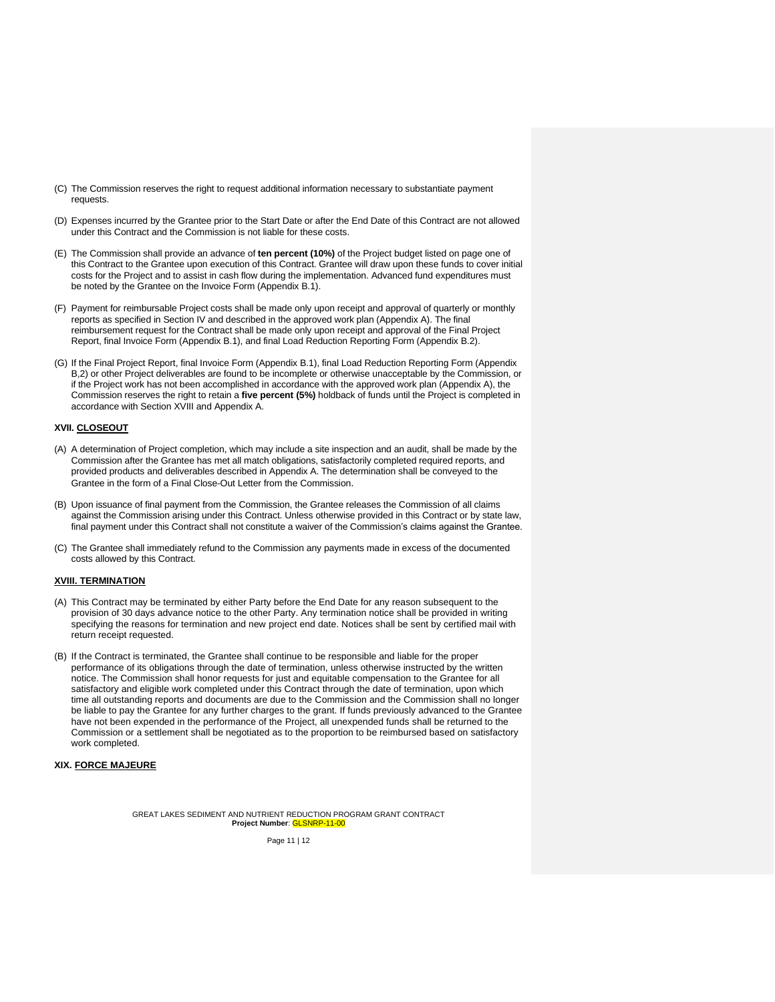- (C) The Commission reserves the right to request additional information necessary to substantiate payment requests.
- (D) Expenses incurred by the Grantee prior to the Start Date or after the End Date of this Contract are not allowed under this Contract and the Commission is not liable for these costs.
- (E) The Commission shall provide an advance of **ten percent (10%)** of the Project budget listed on page one of this Contract to the Grantee upon execution of this Contract. Grantee will draw upon these funds to cover initial costs for the Project and to assist in cash flow during the implementation. Advanced fund expenditures must be noted by the Grantee on the Invoice Form (Appendix B.1).
- (F) Payment for reimbursable Project costs shall be made only upon receipt and approval of quarterly or monthly reports as specified in Section IV and described in the approved work plan (Appendix A). The final reimbursement request for the Contract shall be made only upon receipt and approval of the Final Project Report, final Invoice Form (Appendix B.1), and final Load Reduction Reporting Form (Appendix B.2).
- (G) If the Final Project Report, final Invoice Form (Appendix B.1), final Load Reduction Reporting Form (Appendix B,2) or other Project deliverables are found to be incomplete or otherwise unacceptable by the Commission, or if the Project work has not been accomplished in accordance with the approved work plan (Appendix A), the Commission reserves the right to retain a **five percent (5%)** holdback of funds until the Project is completed in accordance with Section XVIII and Appendix A.

## **XVII. CLOSEOUT**

- (A) A determination of Project completion, which may include a site inspection and an audit, shall be made by the Commission after the Grantee has met all match obligations, satisfactorily completed required reports, and provided products and deliverables described in Appendix A. The determination shall be conveyed to the Grantee in the form of a Final Close-Out Letter from the Commission.
- (B) Upon issuance of final payment from the Commission, the Grantee releases the Commission of all claims against the Commission arising under this Contract. Unless otherwise provided in this Contract or by state law, final payment under this Contract shall not constitute a waiver of the Commission's claims against the Grantee.
- (C) The Grantee shall immediately refund to the Commission any payments made in excess of the documented costs allowed by this Contract.

## **XVIII. TERMINATION**

- (A) This Contract may be terminated by either Party before the End Date for any reason subsequent to the provision of 30 days advance notice to the other Party. Any termination notice shall be provided in writing specifying the reasons for termination and new project end date. Notices shall be sent by certified mail with return receipt requested.
- (B) If the Contract is terminated, the Grantee shall continue to be responsible and liable for the proper performance of its obligations through the date of termination, unless otherwise instructed by the written notice. The Commission shall honor requests for just and equitable compensation to the Grantee for all satisfactory and eligible work completed under this Contract through the date of termination, upon which time all outstanding reports and documents are due to the Commission and the Commission shall no longer be liable to pay the Grantee for any further charges to the grant. If funds previously advanced to the Grantee have not been expended in the performance of the Project, all unexpended funds shall be returned to the Commission or a settlement shall be negotiated as to the proportion to be reimbursed based on satisfactory work completed.

# **XIX. FORCE MAJEURE**

GREAT LAKES SEDIMENT AND NUTRIENT REDUCTION PROGRAM GRANT CONTRACT **Project Number**: GLSNRP-11-00

Page 11 | 12